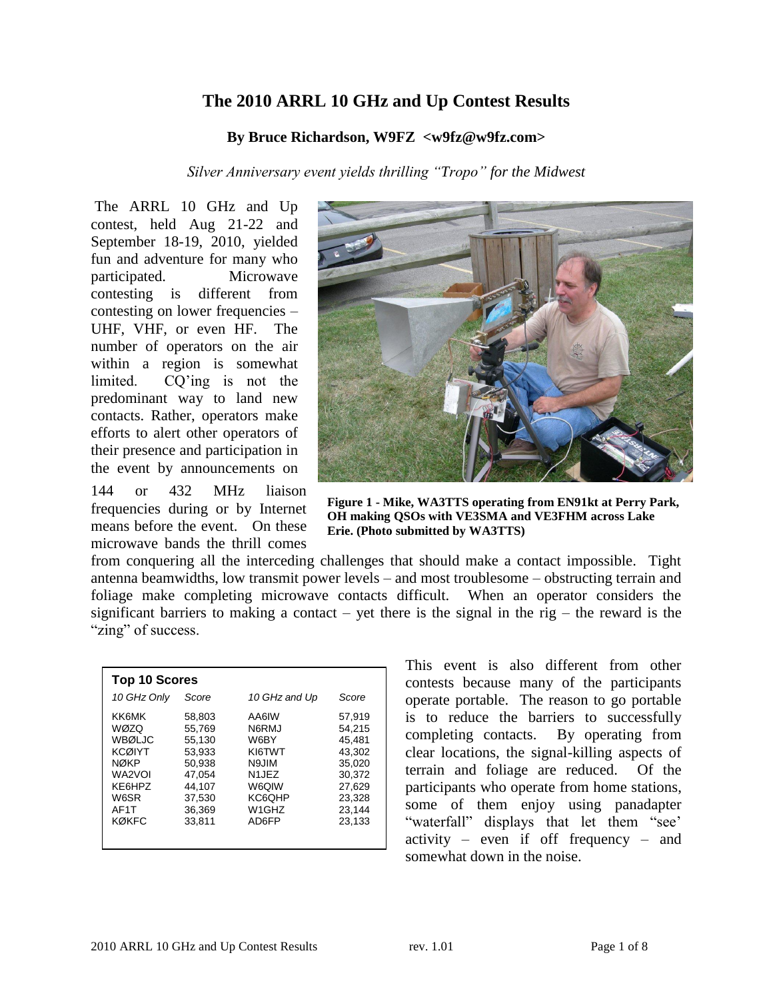# **The 2010 ARRL 10 GHz and Up Contest Results**

#### **By Bruce Richardson, W9FZ <w9fz@w9fz.com>**

*Silver Anniversary event yields thrilling "Tropo" for the Midwest*

The ARRL 10 GHz and Up contest, held Aug 21-22 and September 18-19, 2010, yielded fun and adventure for many who participated. Microwave contesting is different from contesting on lower frequencies – UHF, VHF, or even HF. The number of operators on the air within a region is somewhat limited. CQ'ing is not the predominant way to land new contacts. Rather, operators make efforts to alert other operators of their presence and participation in the event by announcements on

144 or 432 MHz liaison frequencies during or by Internet means before the event. On these microwave bands the thrill comes



**Figure 1 - Mike, WA3TTS operating from EN91kt at Perry Park, OH making QSOs with VE3SMA and VE3FHM across Lake Erie. (Photo submitted by WA3TTS)**

from conquering all the interceding challenges that should make a contact impossible. Tight antenna beamwidths, low transmit power levels – and most troublesome – obstructing terrain and foliage make completing microwave contacts difficult. When an operator considers the significant barriers to making a contact – yet there is the signal in the rig – the reward is the "zing" of success.

| <b>Top 10 Scores</b>                                                                                  |                                                                                                  |                                                                                                                          |                                                                                                  |  |  |
|-------------------------------------------------------------------------------------------------------|--------------------------------------------------------------------------------------------------|--------------------------------------------------------------------------------------------------------------------------|--------------------------------------------------------------------------------------------------|--|--|
| 10 GHz Only                                                                                           | Score                                                                                            | 10 GHz and Up                                                                                                            | Score                                                                                            |  |  |
| KK6MK<br>WØZQ<br>WBØLJC<br><b>KCØIYT</b><br><b>NØKP</b><br>WA2VOI<br>KE6HPZ<br>W6SR<br>AF1T<br>KØKFC. | 58,803<br>55.769<br>55.130<br>53.933<br>50.938<br>47.054<br>44.107<br>37.530<br>36.369<br>33.811 | AA6IW<br>N6RMJ<br><b>W6BY</b><br>KI6TWT<br>N9JIM<br>N <sub>1</sub> JEZ<br>W6QIW<br>KC6OHP<br>W <sub>1</sub> GHZ<br>AD6FP | 57.919<br>54.215<br>45.481<br>43,302<br>35.020<br>30.372<br>27.629<br>23.328<br>23.144<br>23.133 |  |  |

This event is also different from other contests because many of the participants operate portable. The reason to go portable is to reduce the barriers to successfully completing contacts. By operating from clear locations, the signal-killing aspects of terrain and foliage are reduced. Of the participants who operate from home stations, some of them enjoy using panadapter "waterfall" displays that let them "see' activity – even if off frequency – and somewhat down in the noise.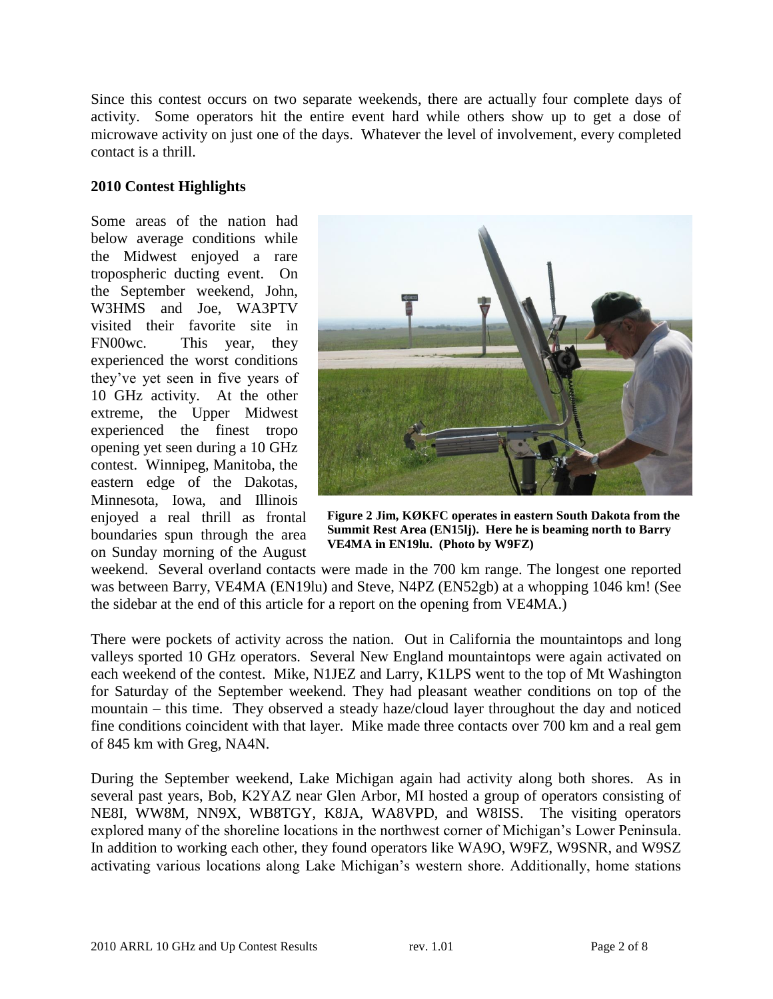Since this contest occurs on two separate weekends, there are actually four complete days of activity. Some operators hit the entire event hard while others show up to get a dose of microwave activity on just one of the days. Whatever the level of involvement, every completed contact is a thrill.

## **2010 Contest Highlights**

Some areas of the nation had below average conditions while the Midwest enjoyed a rare tropospheric ducting event. On the September weekend, John, W3HMS and Joe, WA3PTV visited their favorite site in FN00wc. This year, they experienced the worst conditions they've yet seen in five years of 10 GHz activity. At the other extreme, the Upper Midwest experienced the finest tropo opening yet seen during a 10 GHz contest. Winnipeg, Manitoba, the eastern edge of the Dakotas, Minnesota, Iowa, and Illinois enjoyed a real thrill as frontal boundaries spun through the area on Sunday morning of the August



**Figure 2 Jim, KØKFC operates in eastern South Dakota from the Summit Rest Area (EN15lj). Here he is beaming north to Barry VE4MA in EN19lu. (Photo by W9FZ)**

weekend. Several overland contacts were made in the 700 km range. The longest one reported was between Barry, VE4MA (EN19lu) and Steve, N4PZ (EN52gb) at a whopping 1046 km! (See the sidebar at the end of this article for a report on the opening from VE4MA.)

There were pockets of activity across the nation. Out in California the mountaintops and long valleys sported 10 GHz operators. Several New England mountaintops were again activated on each weekend of the contest. Mike, N1JEZ and Larry, K1LPS went to the top of Mt Washington for Saturday of the September weekend. They had pleasant weather conditions on top of the mountain – this time. They observed a steady haze/cloud layer throughout the day and noticed fine conditions coincident with that layer. Mike made three contacts over 700 km and a real gem of 845 km with Greg, NA4N.

During the September weekend, Lake Michigan again had activity along both shores. As in several past years, Bob, K2YAZ near Glen Arbor, MI hosted a group of operators consisting of NE8I, WW8M, NN9X, WB8TGY, K8JA, WA8VPD, and W8ISS. The visiting operators explored many of the shoreline locations in the northwest corner of Michigan's Lower Peninsula. In addition to working each other, they found operators like WA9O, W9FZ, W9SNR, and W9SZ activating various locations along Lake Michigan's western shore. Additionally, home stations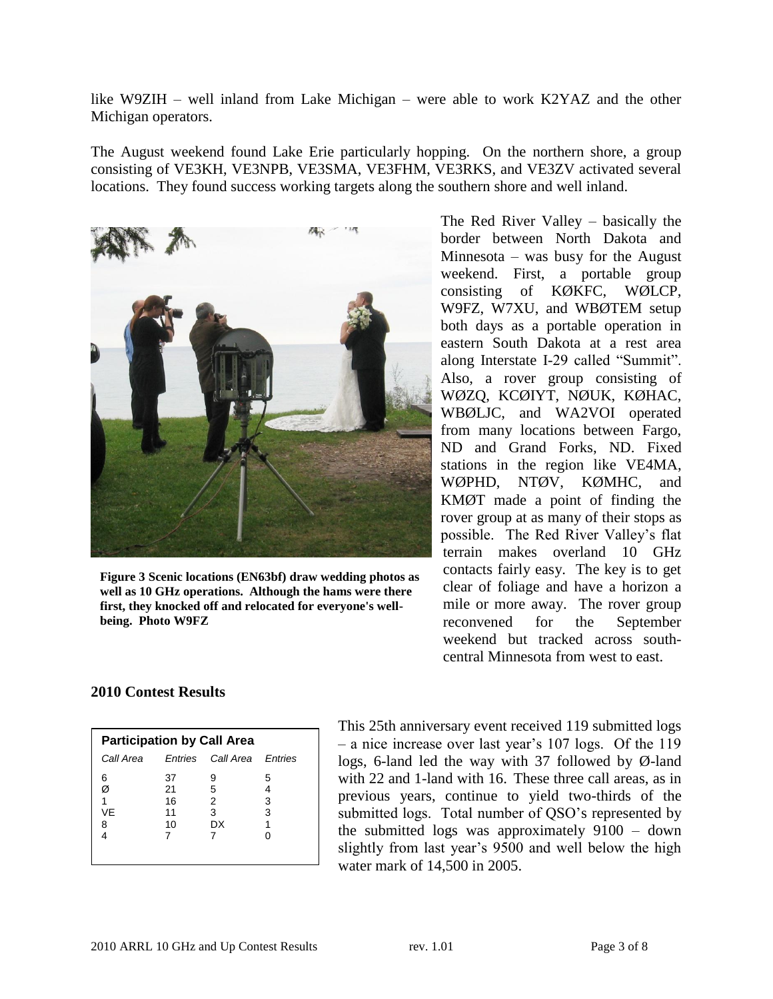like W9ZIH – well inland from Lake Michigan – were able to work K2YAZ and the other Michigan operators.

The August weekend found Lake Erie particularly hopping. On the northern shore, a group consisting of VE3KH, VE3NPB, VE3SMA, VE3FHM, VE3RKS, and VE3ZV activated several locations. They found success working targets along the southern shore and well inland.



**Figure 3 Scenic locations (EN63bf) draw wedding photos as well as 10 GHz operations. Although the hams were there first, they knocked off and relocated for everyone's wellbeing. Photo W9FZ**

The Red River Valley – basically the border between North Dakota and Minnesota – was busy for the August weekend. First, a portable group consisting of KØKFC, WØLCP, W9FZ, W7XU, and WBØTEM setup both days as a portable operation in eastern South Dakota at a rest area along Interstate I-29 called "Summit". Also, a rover group consisting of WØZQ, KCØIYT, NØUK, KØHAC, WBØLJC, and WA2VOI operated from many locations between Fargo, ND and Grand Forks, ND. Fixed stations in the region like VE4MA, WØPHD, NTØV, KØMHC, and KMØT made a point of finding the rover group at as many of their stops as possible. The Red River Valley's flat terrain makes overland 10 GHz contacts fairly easy. The key is to get clear of foliage and have a horizon a mile or more away. The rover group reconvened for the September weekend but tracked across southcentral Minnesota from west to east.

#### **2010 Contest Results**

| <b>Participation by Call Area</b> |                            |                           |                  |  |  |  |
|-----------------------------------|----------------------------|---------------------------|------------------|--|--|--|
| Call Area                         |                            | Entries Call Area Entries |                  |  |  |  |
| 6<br>Ø<br>VE<br>8<br>4            | 37<br>21<br>16<br>11<br>10 | 9<br>5<br>2<br>3<br>DX    | 5<br>4<br>3<br>3 |  |  |  |

This 25th anniversary event received 119 submitted logs – a nice increase over last year's 107 logs. Of the 119 logs, 6-land led the way with 37 followed by Ø-land with 22 and 1-land with 16. These three call areas, as in previous years, continue to yield two-thirds of the submitted logs. Total number of QSO's represented by the submitted logs was approximately 9100 – down slightly from last year's 9500 and well below the high water mark of 14,500 in 2005.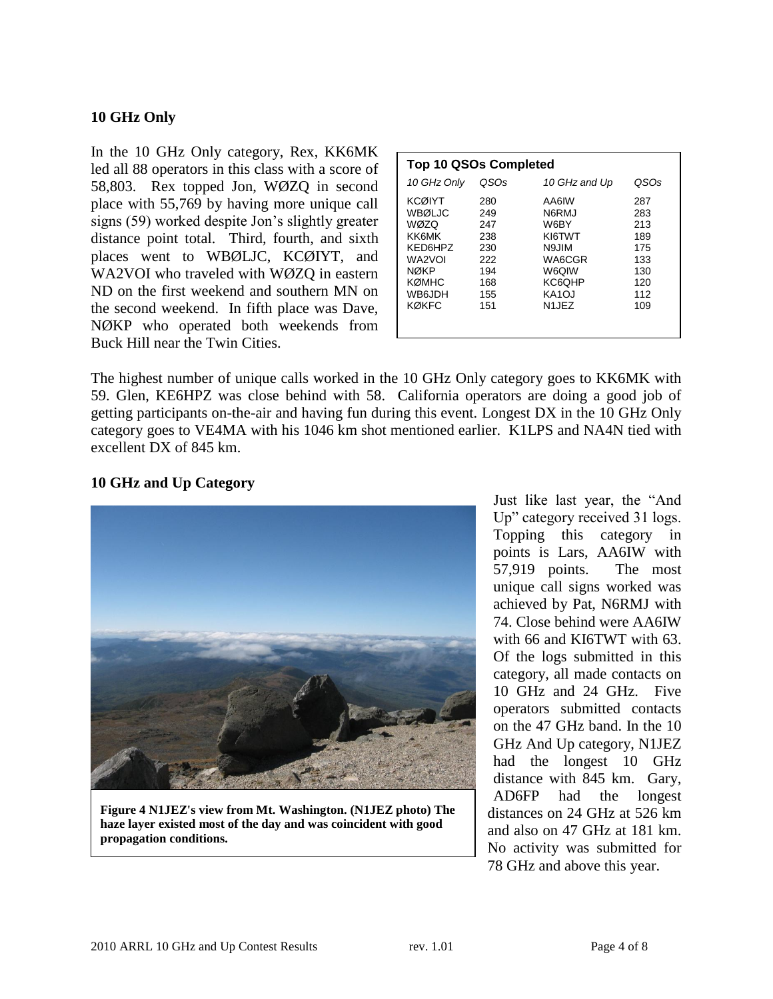### **10 GHz Only**

In the 10 GHz Only category, Rex, KK6MK led all 88 operators in this class with a score of 58,803. Rex topped Jon, WØZQ in second place with 55,769 by having more unique call signs (59) worked despite Jon's slightly greater distance point total. Third, fourth, and sixth places went to WBØLJC, KCØIYT, and WA2VOI who traveled with WØZO in eastern ND on the first weekend and southern MN on the second weekend. In fifth place was Dave, NØKP who operated both weekends from Buck Hill near the Twin Cities.

| <b>Top 10 QSOs Completed</b>                                                                                           |                                                                    |                                                                                                                  |                                                                    |  |  |  |
|------------------------------------------------------------------------------------------------------------------------|--------------------------------------------------------------------|------------------------------------------------------------------------------------------------------------------|--------------------------------------------------------------------|--|--|--|
| 10 GHz Only                                                                                                            | OSOs                                                               | 10 GHz and Up                                                                                                    | OSOs                                                               |  |  |  |
| <b>KCØIYT</b><br>WBØLJC<br>WØZQ<br>KK6MK<br>KED6HPZ<br>WA2VOI<br><b>NØKP</b><br><b>KØMHC</b><br>WB6JDH<br><b>KØKFC</b> | 280<br>249<br>247<br>238<br>230<br>222<br>194<br>168<br>155<br>151 | AA6IW<br>N6RMJ<br>W6BY<br>KI6TWT<br>N9JIM<br>WA6CGR<br>W6QIW<br>KC6OHP<br>KA <sub>10</sub><br>N <sub>1</sub> JEZ | 287<br>283<br>213<br>189<br>175<br>133<br>130<br>120<br>112<br>109 |  |  |  |

The highest number of unique calls worked in the 10 GHz Only category goes to KK6MK with 59. Glen, KE6HPZ was close behind with 58. California operators are doing a good job of getting participants on-the-air and having fun during this event. Longest DX in the 10 GHz Only category goes to VE4MA with his 1046 km shot mentioned earlier. K1LPS and NA4N tied with excellent DX of 845 km.

### **10 GHz and Up Category**



**Figure 4 N1JEZ's view from Mt. Washington. (N1JEZ photo) The haze layer existed most of the day and was coincident with good propagation conditions.**

Just like last year, the "And Up" category received 31 logs. Topping this category in points is Lars, AA6IW with 57,919 points. The most unique call signs worked was achieved by Pat, N6RMJ with 74. Close behind were AA6IW with 66 and KI6TWT with 63. Of the logs submitted in this category, all made contacts on 10 GHz and 24 GHz. Five operators submitted contacts on the 47 GHz band. In the 10 GHz And Up category, N1JEZ had the longest 10 GHz distance with 845 km. Gary, AD6FP had the longest distances on 24 GHz at 526 km and also on 47 GHz at 181 km. No activity was submitted for 78 GHz and above this year.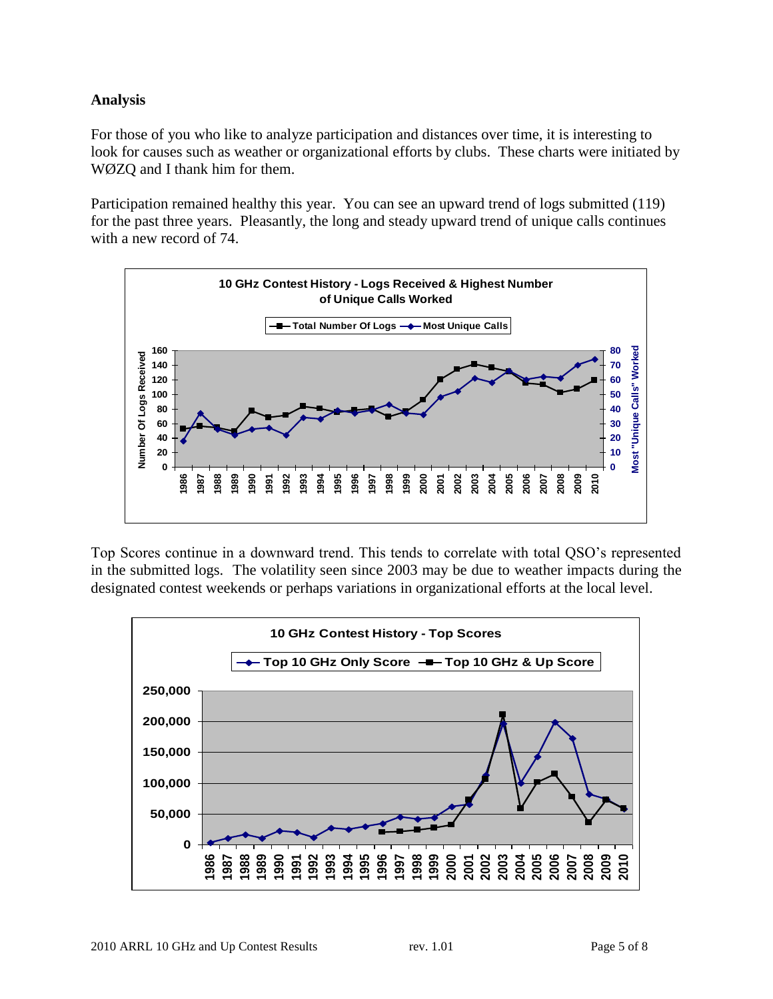## **Analysis**

For those of you who like to analyze participation and distances over time, it is interesting to look for causes such as weather or organizational efforts by clubs. These charts were initiated by WØZQ and I thank him for them.

Participation remained healthy this year. You can see an upward trend of logs submitted (119) for the past three years. Pleasantly, the long and steady upward trend of unique calls continues with a new record of 74.



Top Scores continue in a downward trend. This tends to correlate with total QSO's represented in the submitted logs. The volatility seen since 2003 may be due to weather impacts during the designated contest weekends or perhaps variations in organizational efforts at the local level.

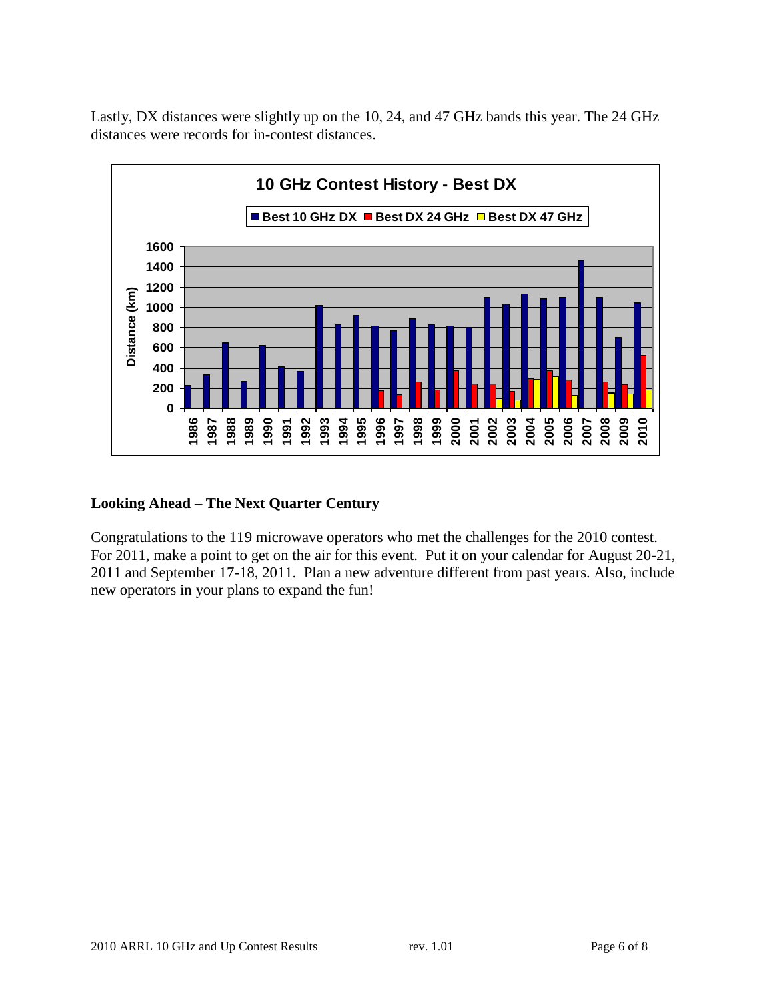Lastly, DX distances were slightly up on the 10, 24, and 47 GHz bands this year. The 24 GHz distances were records for in-contest distances.



## **Looking Ahead – The Next Quarter Century**

Congratulations to the 119 microwave operators who met the challenges for the 2010 contest. For 2011, make a point to get on the air for this event. Put it on your calendar for August 20-21, 2011 and September 17-18, 2011. Plan a new adventure different from past years. Also, include new operators in your plans to expand the fun!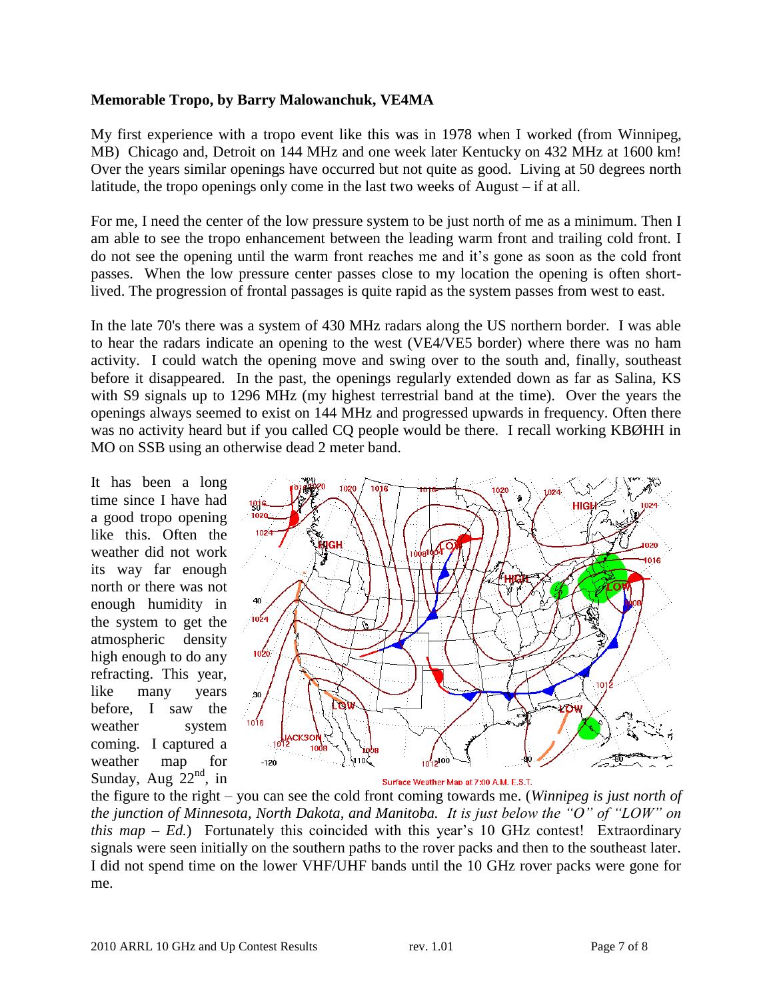#### **Memorable Tropo, by Barry Malowanchuk, VE4MA**

My first experience with a tropo event like this was in 1978 when I worked (from Winnipeg, MB) Chicago and, Detroit on 144 MHz and one week later Kentucky on 432 MHz at 1600 km! Over the years similar openings have occurred but not quite as good. Living at 50 degrees north latitude, the tropo openings only come in the last two weeks of August – if at all.

For me, I need the center of the low pressure system to be just north of me as a minimum. Then I am able to see the tropo enhancement between the leading warm front and trailing cold front. I do not see the opening until the warm front reaches me and it's gone as soon as the cold front passes. When the low pressure center passes close to my location the opening is often shortlived. The progression of frontal passages is quite rapid as the system passes from west to east.

In the late 70's there was a system of 430 MHz radars along the US northern border. I was able to hear the radars indicate an opening to the west (VE4/VE5 border) where there was no ham activity. I could watch the opening move and swing over to the south and, finally, southeast before it disappeared. In the past, the openings regularly extended down as far as Salina, KS with S9 signals up to 1296 MHz (my highest terrestrial band at the time). Over the years the openings always seemed to exist on 144 MHz and progressed upwards in frequency. Often there was no activity heard but if you called CQ people would be there. I recall working KBØHH in MO on SSB using an otherwise dead 2 meter band.

It has been a long time since I have had a good tropo opening like this. Often the weather did not work its way far enough north or there was not enough humidity in the system to get the atmospheric density high enough to do any refracting. This year, like many years before, I saw the weather system coming. I captured a weather map for Sunday, Aug  $22<sup>nd</sup>$ , in



the figure to the right – you can see the cold front coming towards me. (*Winnipeg is just north of the junction of Minnesota, North Dakota, and Manitoba. It is just below the "O" of "LOW" on this map – Ed.*) Fortunately this coincided with this year's 10 GHz contest! Extraordinary signals were seen initially on the southern paths to the rover packs and then to the southeast later. I did not spend time on the lower VHF/UHF bands until the 10 GHz rover packs were gone for me.